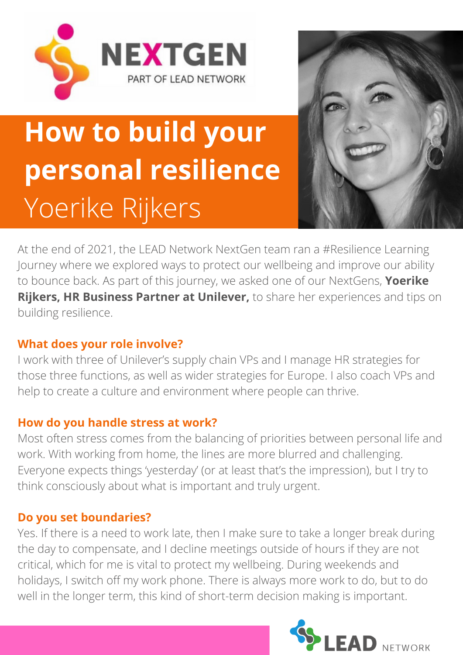



# **How to build your personal resilience** Yoerike Rijkers

At the end of 2021, the LEAD Network NextGen team ran a #Resilience Learning Journey where we explored ways to protect our wellbeing and improve our ability to bounce back. As part of this journey, we asked one of our NextGens, **Yoerike Rijkers, HR Business Partner at Unilever,** to share her experiences and tips on building resilience.

## **What does your role involve?**

I work with three of Unilever's supply chain VPs and I manage HR strategies for those three functions, as well as wider strategies for Europe. I also coach VPs and help to create a culture and environment where people can thrive.

## **How do you handle stress at work?**

Most often stress comes from the balancing of priorities between personal life and work. With working from home, the lines are more blurred and challenging. Everyone expects things 'yesterday' (or at least that's the impression), but I try to think consciously about what is important and truly urgent.

### **Do you set boundaries?**

Yes. If there is a need to work late, then I make sure to take a longer break during the day to compensate, and I decline meetings outside of hours if they are not critical, which for me is vital to protect my wellbeing. During weekends and holidays, I switch off my work phone. There is always more work to do, but to do well in the longer term, this kind of short-term decision making is important.